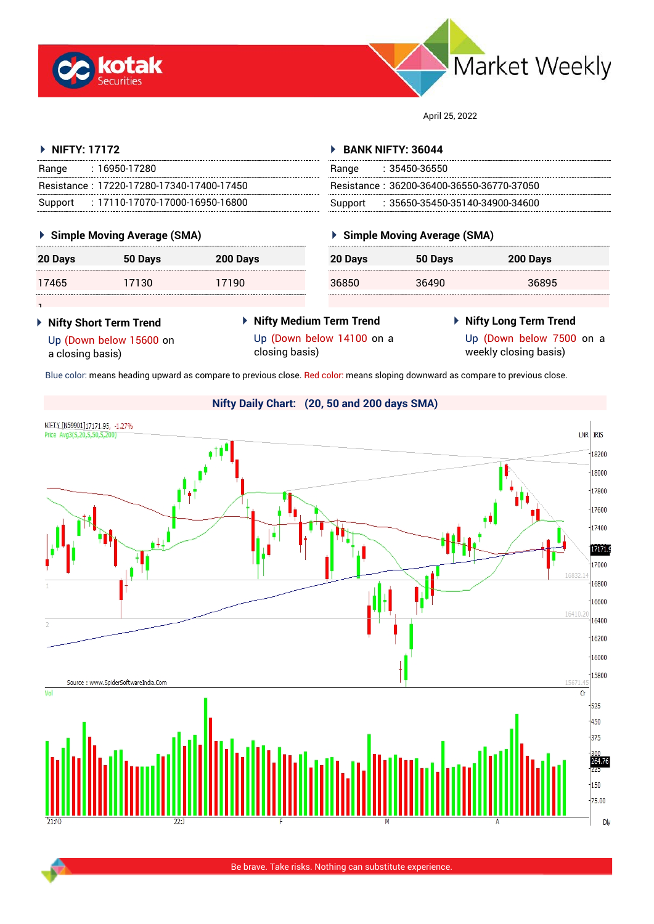



April 25, 2022

| $\triangleright$ NIFTY: 17172              | <b>BANK NIFTY: 36044</b>                   |  |  |
|--------------------------------------------|--------------------------------------------|--|--|
| : 16950-17280<br>Range                     | : 35450-36550<br>Range                     |  |  |
| Resistance: 17220-17280-17340-17400-17450  | Resistance: 36200-36400-36550-36770-37050  |  |  |
| : 17110-17070-17000-16950-16800<br>Support | : 35650-35450-35140-34900-34600<br>Support |  |  |
| <b>Cimple Moving Aversee (SMA)</b>         | Cimple Moving Average (SMA)                |  |  |

## **Simple Moving Average (SMA)**

| 20 Days | 50 Days | 200 Days |
|---------|---------|----------|
| 17465   | 17130   | 17190    |

## **Simple Moving Average (SMA)**

| -----------------------<br>----------------------- | 20 Days | 50 Days | 200 Days |
|----------------------------------------------------|---------|---------|----------|
|                                                    | 36850   | 36490   | 36895    |

1 **Nifty Short Term Trend**

a closing basis)

Up (Down below 15600 on

- **Nifty Medium Term Trend** Up (Down below 14100 on a closing basis)
- **Nifty Long Term Trend**
	- Up (Down below 7500 on a weekly closing basis)

Blue color: means heading upward as compare to previous close. Red color: means sloping downward as compare to previous close.

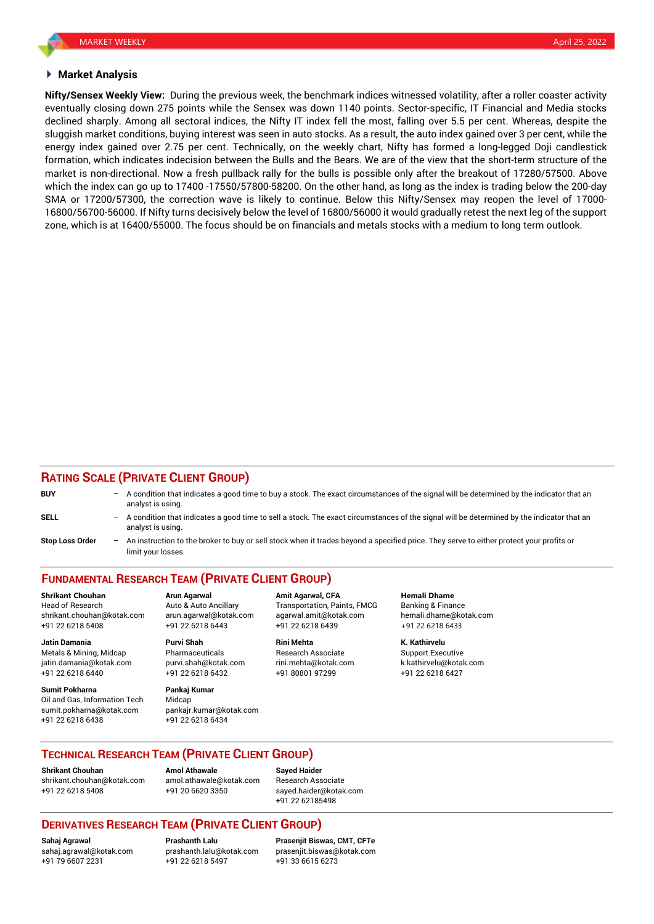### **Market Analysis**

**Nifty/Sensex Weekly View:** During the previous week, the benchmark indices witnessed volatility, after a roller coaster activity eventually closing down 275 points while the Sensex was down 1140 points. Sector-specific, IT Financial and Media stocks declined sharply. Among all sectoral indices, the Nifty IT index fell the most, falling over 5.5 per cent. Whereas, despite the sluggish market conditions, buying interest was seen in auto stocks. As a result, the auto index gained over 3 per cent, while the energy index gained over 2.75 per cent. Technically, on the weekly chart, Nifty has formed a long-legged Doji candlestick formation, which indicates indecision between the Bulls and the Bears. We are of the view that the short-term structure of the market is non-directional. Now a fresh pullback rally for the bulls is possible only after the breakout of 17280/57500. Above which the index can go up to 17400 -17550/57800-58200. On the other hand, as long as the index is trading below the 200-day SMA or 17200/57300, the correction wave is likely to continue. Below this Nifty/Sensex may reopen the level of 17000- 16800/56700-56000. If Nifty turns decisively below the level of 16800/56000 it would gradually retest the next leg of the support zone, which is at 16400/55000. The focus should be on financials and metals stocks with a medium to long term outlook.

## **RATING SCALE (PRIVATE CLIENT GROUP)**

| <b>BUY</b>             |     | - A condition that indicates a good time to buy a stock. The exact circumstances of the signal will be determined by the indicator that an<br>analyst is using.    |
|------------------------|-----|--------------------------------------------------------------------------------------------------------------------------------------------------------------------|
| <b>SELL</b>            |     | $-$ A condition that indicates a good time to sell a stock. The exact circumstances of the signal will be determined by the indicator that an<br>analyst is using. |
| <b>Stop Loss Order</b> | $-$ | An instruction to the broker to buy or sell stock when it trades beyond a specified price. They serve to either protect your profits or<br>limit your losses.      |

# **FUNDAMENTAL RESEARCH TEAM (PRIVATE CLIENT GROUP)**

Head of Research **Auto & Auto Ancillary** Transportation, Paints, FMCG Banking & Finance shrikant.chouhan@kotak.com arun.agarwal@kotak.com [agarwal.amit@kotak.com](mailto:agarwal.amit@kotak.com) hemali.dhame@kotak.com +91 22 6218 5408 +91 22 6218 6443 +91 22 6218 6439 +91 22 6218 6433

Metals & Mining, Midcap **Pharmaceuticals** Research Associate Support Executive Research Associate jatin.damania@kotak.com [purvi.shah@kotak.com](mailto:purvi.shah@kotak.com) rini.mehta@kotak.com [k.kathirvelu@kotak.com](mailto:k.kathirvelu@kotak.com) +91 22 6218 6440 +91 22 6218 6432 +91 80801 97299 +91 22 6218 6427

**Sumit Pokharna** Pankaj Kumar Oil and Gas, Information Tech Midcap sumit.pokharna@kotak.com pankajr.kumar@kotak.com +91 22 6218 6438 +91 22 6218 6434

**Jatin Damania Purvi Shah Rini Mehta K. Kathirvelu**

**Shrikant Chouhan Arun Agarwal Amit Agarwal, CFA Hemali Dhame**

## **TECHNICAL RESEARCH TEAM (PRIVATE CLIENT GROUP)**

**Shrikant Chouhan Amol Athawale Sayed Haider** [shrikant.chouhan@kotak.com](mailto:shrikant.chouhan@kotak.com) [amol.athawale@kotak.com](mailto:amol.athawale@kotak.com) Research Associate +91 22 6218 5408 +91 20 6620 3350 [sayed.haider@kotak.com](mailto:sayed.haider@kotak.com)

+91 22 62185498

## **DERIVATIVES RESEARCH TEAM (PRIVATE CLIENT GROUP)**

+91 79 6607 2231 +91 22 6218 5497 +91 33 6615 6273

**Sahaj Agrawal Prashanth Lalu Prasenjit Biswas, CMT, CFTe** [sahaj.agrawal@kotak.com](mailto:sahaj.agrawal@kotak.com) [prashanth.lalu@kotak.com](mailto:prashanth.lalu@kotak.com) [prasenjit.biswas@kotak.com](mailto:prasenjit.biswas@kotak.com)